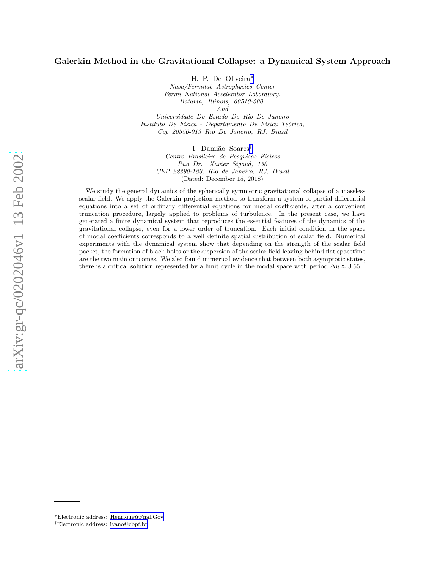## Galerkin Method in the Gravitational Collapse: a Dynamical System Approach

H. P. De Oliveira ∗

Nasa/Fermilab Astrophysics Center Fermi National Accelerator Laboratory, Batavia, Illinois, 60510-500. And

Universidade Do Estado Do Rio De Janeiro Instituto De Física - Departamento De Física Teórica, Cep 20550-013 Rio De Janeiro, RJ, Brazil

I. Damião Soares<sup>†</sup>

Centro Brasileiro de Pesquisas Físicas Rua Dr. Xavier Sigaud, 150 CEP 22290-180, Rio de Janeiro, RJ, Brazil (Dated: December 15, 2018)

We study the general dynamics of the spherically symmetric gravitational collapse of a massless scalar field. We apply the Galerkin projection method to transform a system of partial differential equations into a set of ordinary differential equations for modal coefficients, after a convenient truncation procedure, largely applied to problems of turbulence. In the present case, we have generated a finite dynamical system that reproduces the essential features of the dynamics of the gravitational collapse, even for a lower order of truncation. Each initial condition in the space of modal coefficients corresponds to a well definite spatial distribution of scalar field. Numerical experiments with the dynamical system show that depending on the strength of the scalar field packet, the formation of black-holes or the dispersion of the scalar field leaving behind flat spacetime are the two main outcomes. We also found numerical evidence that between both asymptotic states, there is a critical solution represented by a limit cycle in the modal space with period  $\Delta u \approx 3.55$ .

<sup>∗</sup>Electronic address: [Henrique@Fnal.Gov](mailto:Henrique@Fnal.Gov)

<sup>†</sup>Electronic address: [ivano@cbpf.br](mailto:ivano@cbpf.br)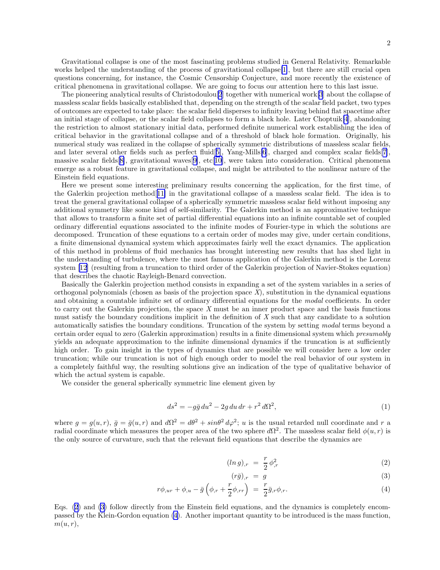<span id="page-1-0"></span>Gravitational collapse is one of the most fascinating problems studied in General Relativity. Remarkable works helped the understanding of the process of gravitational collapse $[1]$ , but there are still crucial open questions concerning, for instance, the Cosmic Censorship Conjecture, and more recently the existence of critical phenomena in gravitational collapse. We are going to focus our attention here to this last issue.

The pioneering analytical results of Christodoulou[\[2](#page-5-0)] together with numerical work[\[3](#page-5-0)] about the collapse of massless scalar fields basically established that, depending on the strength of the scalar field packet, two types of outcomes are expected to take place: the scalar field disperses to infinity leaving behind flat spacetime after an initial stage of collapse, or the scalar field collapses to form a black hole. Later Choptuik[\[4](#page-5-0)], abandoning the restriction to almost stationary initial data, performed definite numerical work establishing the idea of critical behavior in the gravitational collapse and of a threshold of black hole formation. Originally, his numerical study was realized in the collapse of spherically symmetric distributions of massless scalar fields, and later several other fields such as perfect fluid[[5\]](#page-5-0), Yang-Mills[\[6](#page-5-0)], charged and complex scalar fields[\[7\]](#page-5-0), massive scalar fields [[8\]](#page-5-0), gravitational waves [[9\]](#page-5-0), etc [[10\]](#page-5-0), were taken into consideration. Critical phenomena emerge as a robust feature in gravitational collapse, and might be attributed to the nonlinear nature of the Einstein field equations.

Here we present some interesting preliminary results concerning the application, for the first time, of the Galerkin projection method[[11\]](#page-5-0) in the gravitational collapse of a massless scalar field. The idea is to treat the general gravitational collapse of a spherically symmetric massless scalar field without imposing any additional symmetry like some kind of self-similarity. The Galerkin method is an approximative technique that allows to transform a finite set of partial differential equations into an infinite countable set of coupled ordinary differential equations associated to the infinite modes of Fourier-type in which the solutions are decomposed. Truncation of these equations to a certain order of modes may give, under certain conditions, a finite dimensional dynamical system which approximates fairly well the exact dynamics. The application of this method in problems of fluid mechanics has brought interesting new results that has shed light in the understanding of turbulence, where the most famous application of the Galerkin method is the Lorenz system[[12\]](#page-5-0) (resulting from a truncation to third order of the Galerkin projection of Navier-Stokes equation) that describes the chaotic Rayleigh-Benard convection.

Basically the Galerkin projection method consists in expanding a set of the system variables in a series of orthogonal polynomials (chosen as basis of the projection space  $X$ ), substitution in the dynamical equations and obtaining a countable infinite set of ordinary differential equations for the modal coefficients. In order to carry out the Galerkin projection, the space X must be an inner product space and the basis functions must satisfy the boundary conditions implicit in the definition of  $X$  such that any candidate to a solution automatically satisfies the boundary conditions. Truncation of the system by setting modal terms beyond a certain order equal to zero (Galerkin approximation) results in a finite dimensional system which presumably yields an adequate approximation to the infinite dimensional dynamics if the truncation is at sufficiently high order. To gain insight in the types of dynamics that are possible we will consider here a low order truncation; while our truncation is not of high enough order to model the real behavior of our system in a completely faithful way, the resulting solutions give an indication of the type of qualitative behavior of which the actual system is capable.

We consider the general spherically symmetric line element given by

$$
ds^2 = -g\bar{g} du^2 - 2g du dr + r^2 d\Omega^2,
$$
\n<sup>(1)</sup>

where  $g = g(u, r)$ ,  $\bar{g} = \bar{g}(u, r)$  and  $d\Omega^2 = d\theta^2 + \sin\theta^2 d\varphi^2$ ; u is the usual retarded null coordinate and r a radial coordinate which measures the proper area of the two sphere  $d\Omega^2$ . The massless scalar field  $\phi(u,r)$  is the only source of curvature, such that the relevant field equations that describe the dynamics are

$$
(ln g)_{,r} = \frac{r}{2} \phi_{,r}^2 \tag{2}
$$

$$
(r\bar{g})_{,r} = g \tag{3}
$$

$$
r\phi_{,ur} + \phi_{,u} - \bar{g}\left(\phi_{,r} + \frac{r}{2}\phi_{,rr}\right) = \frac{r}{2}\bar{g}_{,r}\phi_{,r}.
$$
\n
$$
\tag{4}
$$

Eqs. (2) and (3) follow directly from the Einstein field equations, and the dynamics is completely encompassed by the Klein-Gordon equation (4). Another important quantity to be introduced is the mass function,  $m(u, r)$ ,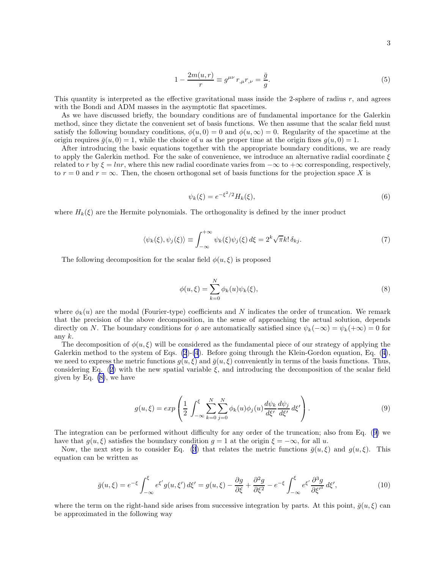$$
1 - \frac{2m(u,r)}{r} \equiv g^{\mu\nu} r_{,\mu} r_{,\nu} = \frac{\bar{g}}{g}.
$$
 (5)

<span id="page-2-0"></span>This quantity is interpreted as the effective gravitational mass inside the 2-sphere of radius  $r$ , and agrees with the Bondi and ADM masses in the asymptotic flat spacetimes.

As we have discussed briefly, the boundary conditions are of fundamental importance for the Galerkin method, since they dictate the convenient set of basis functions. We then assume that the scalar field must satisfy the following boundary conditions,  $\phi(u, 0) = 0$  and  $\phi(u, \infty) = 0$ . Regularity of the spacetime at the origin requires  $\bar{q}(u, 0) = 1$ , while the choice of u as the proper time at the origin fixes  $q(u, 0) = 1$ .

After introducing the basic equations together with the appropriate boundary conditions, we are ready to apply the Galerkin method. For the sake of convenience, we introduce an alternative radial coordinate  $\xi$ related to r by  $\xi = \ln r$ , where this new radial coordinate varies from  $-\infty$  to  $+\infty$  corresponding, respectively, to  $r = 0$  and  $r = \infty$ . Then, the chosen orthogonal set of basis functions for the projection space X is

$$
\psi_k(\xi) = e^{-\xi^2/2} H_k(\xi),\tag{6}
$$

where  $H_k(\xi)$  are the Hermite polynomials. The orthogonality is defined by the inner product

$$
\langle \psi_k(\xi), \psi_j(\xi) \rangle \equiv \int_{-\infty}^{+\infty} \psi_k(\xi) \psi_j(\xi) d\xi = 2^k \sqrt{\pi} k! \, \delta_{kj}.
$$
 (7)

The following decomposition for the scalar field  $\phi(u, \xi)$  is proposed

$$
\phi(u,\xi) = \sum_{k=0}^{N} \phi_k(u)\psi_k(\xi),\tag{8}
$$

where  $\phi_k(u)$  are the modal (Fourier-type) coefficients and N indicates the order of truncation. We remark that the precision of the above decomposition, in the sense of approaching the actual solution, depends directly on N. The boundary conditions for  $\phi$  are automatically satisfied since  $\psi_k(-\infty) = \psi_k(+\infty) = 0$  for any  $k$ .

The decomposition of  $\phi(u,\xi)$  will be considered as the fundamental piece of our strategy of applying the Galerkinmethod to the system of Eqs.  $(2)-(4)$  $(2)-(4)$  $(2)-(4)$ . Before going through the Klein-Gordon equation, Eq.  $(4)$  $(4)$ , we need to express the metric functions  $g(u, \xi)$  and  $\bar{g}(u, \xi)$  conveniently in terms of the basis functions. Thus, consideringEq. ([2\)](#page-1-0) with the new spatial variable  $\xi$ , and introducing the decomposition of the scalar field given by Eq. (8), we have

$$
g(u,\xi) = exp\left(\frac{1}{2}\int_{-\infty}^{\xi} \sum_{k=0}^{N} \sum_{j=0}^{N} \phi_k(u)\phi_j(u) \frac{d\psi_k}{d\xi'} \frac{d\psi_j}{d\xi'} d\xi'\right).
$$
\n(9)

The integration can be performed without difficulty for any order of the truncation; also from Eq. (9) we have that  $g(u, \xi)$  satisfies the boundary condition  $g = 1$  at the origin  $\xi = -\infty$ , for all u.

Now, the next step is to consider Eq. [\(3](#page-1-0)) that relates the metric functions  $\bar{g}(u, \xi)$  and  $g(u, \xi)$ . This equation can be written as

$$
\bar{g}(u,\xi) = e^{-\xi} \int_{-\infty}^{\xi} e^{\xi'} g(u,\xi') d\xi' = g(u,\xi) - \frac{\partial g}{\partial \xi} + \frac{\partial^2 g}{\partial \xi^2} - e^{-\xi} \int_{-\infty}^{\xi} e^{\xi'} \frac{\partial^3 g}{\partial \xi'^3} d\xi',\tag{10}
$$

where the term on the right-hand side arises from successive integration by parts. At this point,  $\bar{g}(u, \xi)$  can be approximated in the following way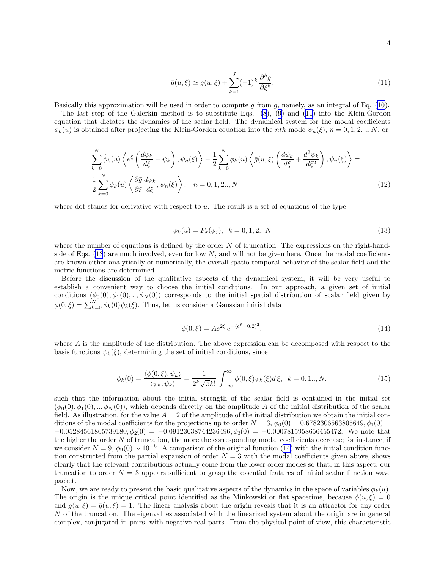$$
\bar{g}(u,\xi) \simeq g(u,\xi) + \sum_{k=1}^{J} (-1)^k \frac{\partial^k g}{\partial \xi^k}.
$$
\n(11)

Basicallythis approximation will be used in order to compute  $\bar{g}$  from g, namely, as an integral of Eq. ([10\)](#page-2-0).

The last step of the Galerkin method is to substitute Eqs. [\(8](#page-2-0)),([9\)](#page-2-0) and (11) into the Klein-Gordon equation that dictates the dynamics of the scalar field. The dynamical system for the modal coefficients  $\phi_k(u)$  is obtained after projecting the Klein-Gordon equation into the *nth* mode  $\psi_n(\xi)$ ,  $n = 0, 1, 2, ..., N$ , or

$$
\sum_{k=0}^{N} \dot{\phi}_k(u) \left\langle e^{\xi} \left( \frac{d\psi_k}{d\xi} + \psi_k \right), \psi_n(\xi) \right\rangle - \frac{1}{2} \sum_{k=0}^{N} \phi_k(u) \left\langle \bar{g}(u,\xi) \left( \frac{d\psi_k}{d\xi} + \frac{d^2\psi_k}{d\xi^2} \right), \psi_n(\xi) \right\rangle = \frac{1}{2} \sum_{k=0}^{N} \phi_k(u) \left\langle \frac{\partial \bar{g}}{\partial \xi} \frac{d\psi_k}{d\xi}, \psi_n(\xi) \right\rangle, \quad n = 0, 1, 2..., N \tag{12}
$$

where dot stands for derivative with respect to  $u$ . The result is a set of equations of the type

$$
\dot{\phi}_k(u) = F_k(\phi_j), \ \ k = 0, 1, 2...N \tag{13}
$$

where the number of equations is defined by the order  $N$  of truncation. The expressions on the right-handside of Eqs.  $(13)$  are much involved, even for low N, and will not be given here. Once the modal coefficients are known either analytically or numerically, the overall spatio-temporal behavior of the scalar field and the metric functions are determined.

Before the discussion of the qualitative aspects of the dynamical system, it will be very useful to establish a convenient way to choose the initial conditions. In our approach, a given set of initial conditions  $(\phi_0(0), \phi_1(0), ..., \phi_N(0))$  corresponds to the initial spatial distribution of scalar field given by  $\phi(0,\xi) = \sum_{k=0}^{N} \phi_k(0)\psi_k(\xi)$ . Thus, let us consider a Gaussian initial data

$$
\phi(0,\xi) = Ae^{2\xi} e^{-(e^{\xi} - 0.2)^2},\tag{14}
$$

where  $A$  is the amplitude of the distribution. The above expression can be decomposed with respect to the basis functions  $\psi_k(\xi)$ , determining the set of initial conditions, since

$$
\phi_k(0) = \frac{\langle \phi(0,\xi), \psi_k \rangle}{\langle \psi_k, \psi_k \rangle} = \frac{1}{2^k \sqrt{\pi} k!} \int_{-\infty}^{\infty} \phi(0,\xi) \psi_k(\xi) d\xi, \quad k = 0, 1.., N,
$$
\n(15)

such that the information about the initial strength of the scalar field is contained in the initial set  $(\phi_0(0), \phi_1(0), ..., \phi_N(0))$ , which depends directly on the amplitude A of the initial distribution of the scalar field. As illustration, for the value  $A = 2$  of the amplitude of the initial distribution we obtain the initial conditions of the modal coefficients for the projections up to order  $N = 3$ ,  $\phi_0(0) = 0.6782306563805649$ ,  $\phi_1(0) =$  $-0.05284561865739180, \phi_2(0) = -0.09123038744236496, \phi_3(0) = -0.0007815958656455472.$  We note that the higher the order N of truncation, the more the corresponding modal coefficients decrease; for instance, if we consider  $N = 9$ ,  $\phi_9(0) \sim 10^{-6}$ . A comparison of the original function (14) with the initial condition function constructed from the partial expansion of order  $N = 3$  with the modal coefficients given above, shows clearly that the relevant contributions actually come from the lower order modes so that, in this aspect, our truncation to order  $N = 3$  appears sufficient to grasp the essential features of initial scalar function wave packet.

Now, we are ready to present the basic qualitative aspects of the dynamics in the space of variables  $\phi_k(u)$ . The origin is the unique critical point identified as the Minkowski or flat spacetime, because  $\phi(u, \xi) = 0$ and  $g(u, \xi) = \overline{g}(u, \xi) = 1$ . The linear analysis about the origin reveals that it is an attractor for any order N of the truncation. The eigenvalues associated with the linearized system about the origin are in general complex, conjugated in pairs, with negative real parts. From the physical point of view, this characteristic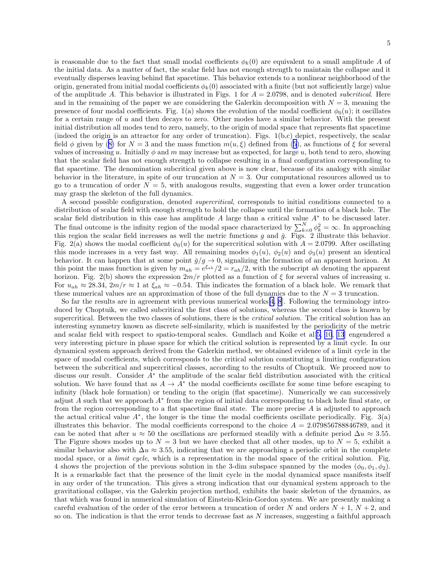is reasonable due to the fact that small modal coefficients  $\phi_k(0)$  are equivalent to a small amplitude A of the initial data. As a matter of fact, the scalar field has not enough strength to maintain the collapse and it eventually disperses leaving behind flat spacetime. This behavior extends to a nonlinear neighborhood of the origin, generated from initial modal coefficients  $\phi_k(0)$  associated with a finite (but not sufficiently large) value of the amplitude A. This behavior is illustrated in Figs. 1 for  $A = 2.0798$ , and is denoted *subcritical*. Here and in the remaining of the paper we are considering the Galerkin decomposition with  $N = 3$ , meaning the presence of four modal coefficients. Fig. 1(a) shows the evolution of the modal coefficient  $\phi_0(u)$ ; it oscillates for a certain range of u and then decays to zero. Other modes have a similar behavior. With the present initial distribution all modes tend to zero, namely, to the origin of modal space that represents flat spacetime (indeed the origin is an attractor for any order of truncation). Figs. 1(b,c) depict, respectively, the scalar fieldφ given by ([8\)](#page-2-0) for  $N = 3$  and the mass function  $m(u, \xi)$  defined from [\(5](#page-2-0)), as functions of  $\xi$  for several values of increasing u. Initially  $\phi$  and m may increase but as expected, for large u, both tend to zero, showing that the scalar field has not enough strength to collapse resulting in a final configuration corresponding to

flat spacetime. The denomination subcritical given above is now clear, because of its analogy with similar behavior in the literature, in spite of our truncation at  $N = 3$ . Our computational resources allowed us to go to a truncation of order  $N = 5$ , with analogous results, suggesting that even a lower order truncation may grasp the skeleton of the full dynamics. A second possible configuration, denoted supercritical, corresponds to initial conditions connected to a

distribution of scalar field with enough strength to hold the collapse until the formation of a black hole. The scalar field distribution in this case has amplitude A large than a critical value  $A^*$  to be discussed later. The final outcome is the infinity region of the modal space characterized by  $\sum_{k=0}^{N} \phi_k^2 = \infty$ . In approaching this region the scalar field increases as well the metric functions g and  $\bar{g}$ . Figs. 2 illustrate this behavior. Fig. 2(a) shows the modal coefficient  $\phi_0(u)$  for the supercritical solution with  $A = 2.0799$ . After oscillating this mode increases in a very fast way. All remaining modes  $\phi_1(u)$ ,  $\phi_2(u)$  and  $\phi_3(u)$  present an identical behavior. It can happen that at some point  $\bar{g}/g \to 0$ , signalizing the formation of an apparent horizon. At this point the mass function is given by  $m_{ah} = e^{\xi_{ah}}/2 = r_{ah}/2$ , with the subscript ah denoting the apparent horizon. Fig. 2(b) shows the expression  $2m/r$  plotted as a function of  $\xi$  for several values of increasing u. For  $u_{ah} \approx 28.34$ ,  $2m/r \approx 1$  at  $\xi_{ah} \approx -0.54$ . This indicates the formation of a black hole. We remark that these numerical values are an approximation of those of the full dynamics due to the  $N = 3$  truncation.

So far the results are in agreement with previous numerical works  $[4, 8]$  $[4, 8]$  $[4, 8]$  $[4, 8]$ . Following the terminology introduced by Choptuik, we called subcritical the first class of solutions, whereas the second class is known by supercritical. Between the two classes of solutions, there is the *critical solution*. The critical solution has an interesting symmetry known as discrete self-similarity, which is manifested by the periodicity of the metric and scalar field with respect to spatio-temporal scales. Gundlach and Koike et al[[5, 10](#page-5-0), [13](#page-5-0)] engendered a very interesting picture in phase space for which the critical solution is represented by a limit cycle. In our dynamical system approach derived from the Galerkin method, we obtained evidence of a limit cycle in the space of modal coefficients, which corresponds to the critical solution constituting a limiting configuration between the subcritical and supercritical classes, according to the results of Choptuik. We proceed now to discuss our result. Consider A<sup>∗</sup> the amplitude of the scalar field distribution associated with the critical solution. We have found that as  $A \to A^*$  the modal coefficients oscillate for some time before escaping to infinity (black hole formation) or tending to the origin (flat spacetime). Numerically we can successively adjust A such that we approach A<sup>∗</sup> from the region of initial data corresponding to black hole final state, or from the region corresponding to a flat spacetime final state. The more precise  $A$  is adjusted to approach the actual critical value  $A^*$ , the longer is the time the modal coefficients oscillate periodically. Fig. 3(a) illustrates this behavior. The modal coefficients correspond to the choice  $A = 2.079856788846789$ , and it can be noted that after  $u \approx 50$  the oscillations are performed steadily with a definite period  $\Delta u \approx 3.55$ . The Figure shows modes up to  $N = 3$  but we have checked that all other modes, up to  $N = 5$ , exhibit a similar behavior also with  $\Delta u \approx 3.55$ , indicating that we are approaching a periodic orbit in the complete modal space, or a *limit cycle*, which is a representation in the modal space of the critical solution. Fig. 4 shows the projection of the previous solution in the 3-dim subspace spanned by the modes  $(\phi_0, \phi_1, \phi_2)$ . It is a remarkable fact that the presence of the limit cycle in the modal dynamical space manifests itself in any order of the truncation. This gives a strong indication that our dynamical system approach to the gravitational collapse, via the Galerkin projection method, exhibits the basic skeleton of the dynamics, as that which was found in numerical simulation of Einstein-Klein-Gordon system. We are presently making a careful evaluation of the order of the error between a truncation of order N and orders  $N + 1$ ,  $N + 2$ , and so on. The indication is that the error tends to decrease fast as  $N$  increases, suggesting a faithful approach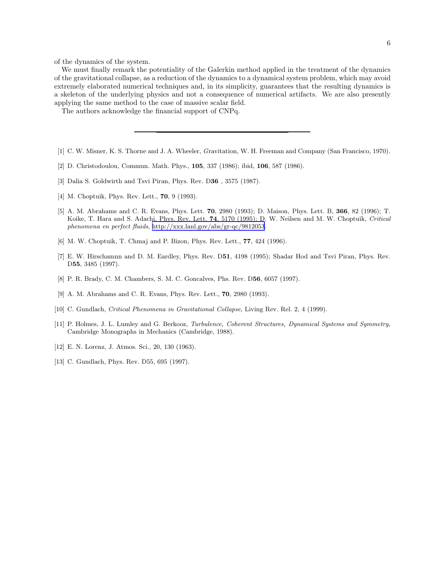<span id="page-5-0"></span>of the dynamics of the system.

We must finally remark the potentiality of the Galerkin method applied in the treatment of the dynamics of the gravitational collapse, as a reduction of the dynamics to a dynamical system problem, which may avoid extremely elaborated numerical techniques and, in its simplicity, guarantees that the resulting dynamics is a skeleton of the underlying physics and not a consequence of numerical artifacts. We are also presently applying the same method to the case of massive scalar field.

The authors acknowledge the financial support of CNPq.

- [1] C. W. Misner, K. S. Thorne and J. A. Wheeler, Gravitation, W. H. Freeman and Company (San Francisco, 1970).
- [2] D. Christodoulou, Commun. Math. Phys., 105, 337 (1986); ibid, 106, 587 (1986).
- [3] Dalia S. Goldwirth and Tsvi Piran, Phys. Rev. D36 , 3575 (1987).
- [4] M. Choptuik, Phys. Rev. Lett., **70**, 9 (1993).
- [5] A. M. Abrahams and C. R. Evans, Phys. Lett. 70, 2980 (1993); D. Maison, Phys. Lett. B, 366, 82 (1996); T. Koike, T. Hara and S. Adachi, Phys. Rev. Lett. 74, 5170 (1995); D. W. Neilsen and M. W. Choptuik, Critical phenomena en perfect fluids,<http://xxx.lanl.gov/abs/gr-qc/9812053>.
- [6] M. W. Choptuik, T. Chmaj and P. Bizon, Phys. Rev. Lett., 77, 424 (1996).
- [7] E. W. Hirschamnn and D. M. Eardley, Phys. Rev. D51, 4198 (1995); Shadar Hod and Tsvi Piran, Phys. Rev. D55, 3485 (1997).
- [8] P. R. Brady, C. M. Chambers, S. M. C. Goncalves, Phs. Rev. D56, 6057 (1997).
- [9] A. M. Abrahams and C. R. Evans, Phys. Rev. Lett., 70, 2980 (1993).
- [10] C. Gundlach, Critical Phenomena in Gravitational Collapse, Living Rev. Rel. 2, 4 (1999).
- [11] P. Holmes, J. L. Lumley and G. Berkooz, Turbulence, Coherent Structures, Dynamical Systems and Symmetry, Cambridge Monographs in Mechanics (Cambridge, 1988).
- [12] E. N. Lorenz, J. Atmos. Sci., 20, 130 (1963).
- [13] C. Gundlach, Phys. Rev. D55, 695 (1997).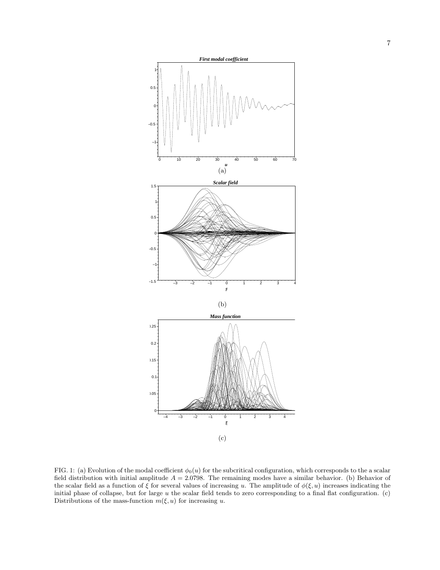

FIG. 1: (a) Evolution of the modal coefficient  $\phi_0(u)$  for the subcritical configuration, which corresponds to the a scalar field distribution with initial amplitude  $A = 2.0798$ . The remaining modes have a similar behavior. (b) Behavior of the scalar field as a function of  $\xi$  for several values of increasing u. The amplitude of  $\phi(\xi, u)$  increases indicating the initial phase of collapse, but for large  $u$  the scalar field tends to zero corresponding to a final flat configuration. (c) Distributions of the mass-function  $m(\xi, u)$  for increasing u.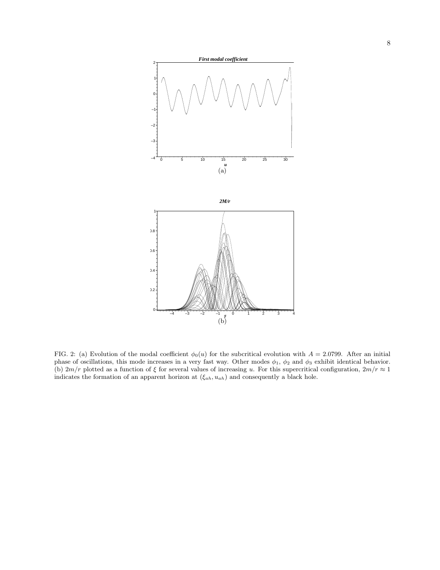

FIG. 2: (a) Evolution of the modal coefficient  $\phi_0(u)$  for the subcritical evolution with  $A = 2.0799$ . After an initial phase of oscillations, this mode increases in a very fast way. Other modes  $\phi_1$ ,  $\phi_2$  and  $\phi_3$  exhibit identical behavior. (b)  $2m/r$  plotted as a function of  $\xi$  for several values of increasing u. For this supercritical configuration,  $2m/r \approx 1$ indicates the formation of an apparent horizon at  $(\xi_{ah}, u_{ah})$  and consequently a black hole.